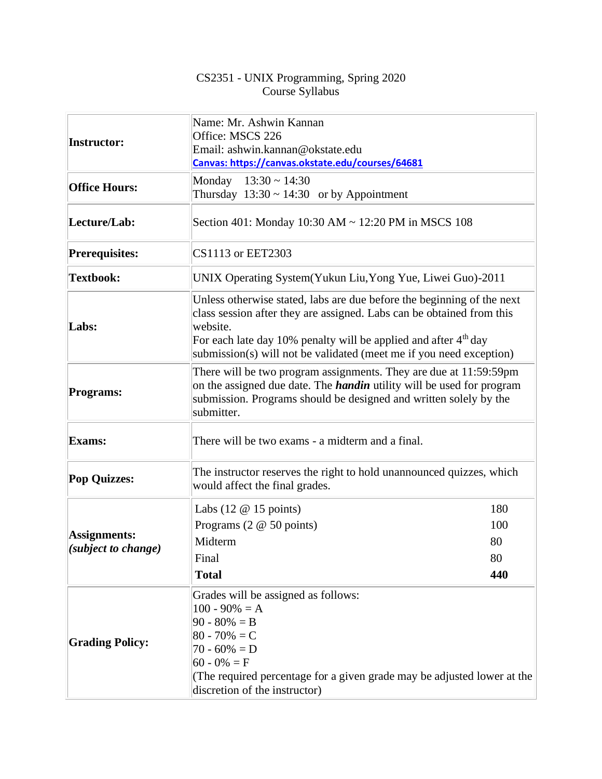## CS2351 - UNIX Programming, Spring 2020 Course Syllabus

| <b>Instructor:</b>                         | Name: Mr. Ashwin Kannan<br>Office: MSCS 226<br>Email: ashwin.kannan@okstate.edu<br>Canvas: https://canvas.okstate.edu/courses/64681                                                                                                                                                                               |     |  |  |
|--------------------------------------------|-------------------------------------------------------------------------------------------------------------------------------------------------------------------------------------------------------------------------------------------------------------------------------------------------------------------|-----|--|--|
| <b>Office Hours:</b>                       | Monday $13:30 \sim 14:30$<br>Thursday $13:30 \sim 14:30$ or by Appointment                                                                                                                                                                                                                                        |     |  |  |
| Lecture/Lab:                               | Section 401: Monday 10:30 AM ~ 12:20 PM in MSCS 108                                                                                                                                                                                                                                                               |     |  |  |
| <b>Prerequisites:</b>                      | CS1113 or EET2303                                                                                                                                                                                                                                                                                                 |     |  |  |
| <b>Textbook:</b>                           | UNIX Operating System (Yukun Liu, Yong Yue, Liwei Guo)-2011                                                                                                                                                                                                                                                       |     |  |  |
| Labs:                                      | Unless otherwise stated, labs are due before the beginning of the next<br>class session after they are assigned. Labs can be obtained from this<br>website.<br>For each late day 10% penalty will be applied and after 4 <sup>th</sup> day<br>submission(s) will not be validated (meet me if you need exception) |     |  |  |
| <b>Programs:</b>                           | There will be two program assignments. They are due at 11:59:59pm<br>on the assigned due date. The <i>handin</i> utility will be used for program<br>submission. Programs should be designed and written solely by the<br>submitter.                                                                              |     |  |  |
| <b>Exams:</b>                              | There will be two exams - a midterm and a final.                                                                                                                                                                                                                                                                  |     |  |  |
| <b>Pop Quizzes:</b>                        | The instructor reserves the right to hold unannounced quizzes, which<br>would affect the final grades.                                                                                                                                                                                                            |     |  |  |
| <b>Assignments:</b><br>(subject to change) | Labs $(12 \t@ 15 \tpoints)$                                                                                                                                                                                                                                                                                       | 180 |  |  |
|                                            | Programs $(2 \t@ 50 \tpoints)$                                                                                                                                                                                                                                                                                    | 100 |  |  |
|                                            | Midterm                                                                                                                                                                                                                                                                                                           | 80  |  |  |
|                                            | Final                                                                                                                                                                                                                                                                                                             | 80  |  |  |
|                                            | <b>Total</b>                                                                                                                                                                                                                                                                                                      | 440 |  |  |
| <b>Grading Policy:</b>                     | Grades will be assigned as follows:<br>$100 - 90\% = A$<br>$90 - 80\% = B$<br>$80 - 70\% = C$<br>$70 - 60\% = D$<br>$60 - 0\% = F$<br>(The required percentage for a given grade may be adjusted lower at the<br>discretion of the instructor)                                                                    |     |  |  |